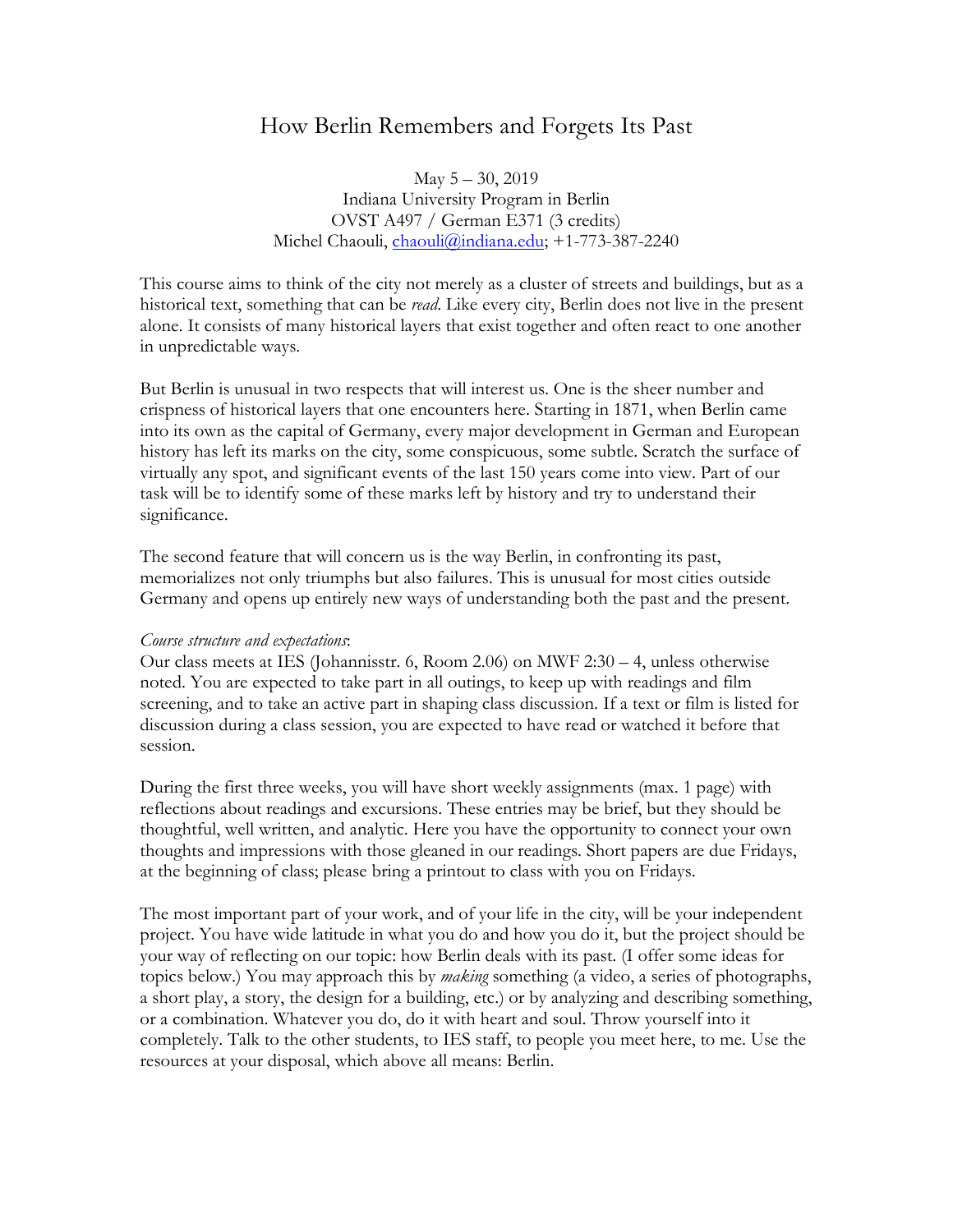# How Berlin Remembers and Forgets Its Past

May 5 – 30, 2019 Indiana University Program in Berlin OVST A497 / German E371 (3 credits) Michel Chaouli, [chaouli@indiana.edu;](mailto:chaouli@indiana.edu) +1-773-387-2240

This course aims to think of the city not merely as a cluster of streets and buildings, but as a historical text, something that can be *read*. Like every city, Berlin does not live in the present alone. It consists of many historical layers that exist together and often react to one another in unpredictable ways.

But Berlin is unusual in two respects that will interest us. One is the sheer number and crispness of historical layers that one encounters here. Starting in 1871, when Berlin came into its own as the capital of Germany, every major development in German and European history has left its marks on the city, some conspicuous, some subtle. Scratch the surface of virtually any spot, and significant events of the last 150 years come into view. Part of our task will be to identify some of these marks left by history and try to understand their significance.

The second feature that will concern us is the way Berlin, in confronting its past, memorializes not only triumphs but also failures. This is unusual for most cities outside Germany and opens up entirely new ways of understanding both the past and the present.

# *Course structure and expectations*:

Our class meets at IES (Johannisstr. 6, Room 2.06) on MWF 2:30 – 4, unless otherwise noted. You are expected to take part in all outings, to keep up with readings and film screening, and to take an active part in shaping class discussion. If a text or film is listed for discussion during a class session, you are expected to have read or watched it before that session.

During the first three weeks, you will have short weekly assignments (max. 1 page) with reflections about readings and excursions. These entries may be brief, but they should be thoughtful, well written, and analytic. Here you have the opportunity to connect your own thoughts and impressions with those gleaned in our readings. Short papers are due Fridays, at the beginning of class; please bring a printout to class with you on Fridays.

The most important part of your work, and of your life in the city, will be your independent project. You have wide latitude in what you do and how you do it, but the project should be your way of reflecting on our topic: how Berlin deals with its past. (I offer some ideas for topics below.) You may approach this by *making* something (a video, a series of photographs, a short play, a story, the design for a building, etc.) or by analyzing and describing something, or a combination. Whatever you do, do it with heart and soul. Throw yourself into it completely. Talk to the other students, to IES staff, to people you meet here, to me. Use the resources at your disposal, which above all means: Berlin.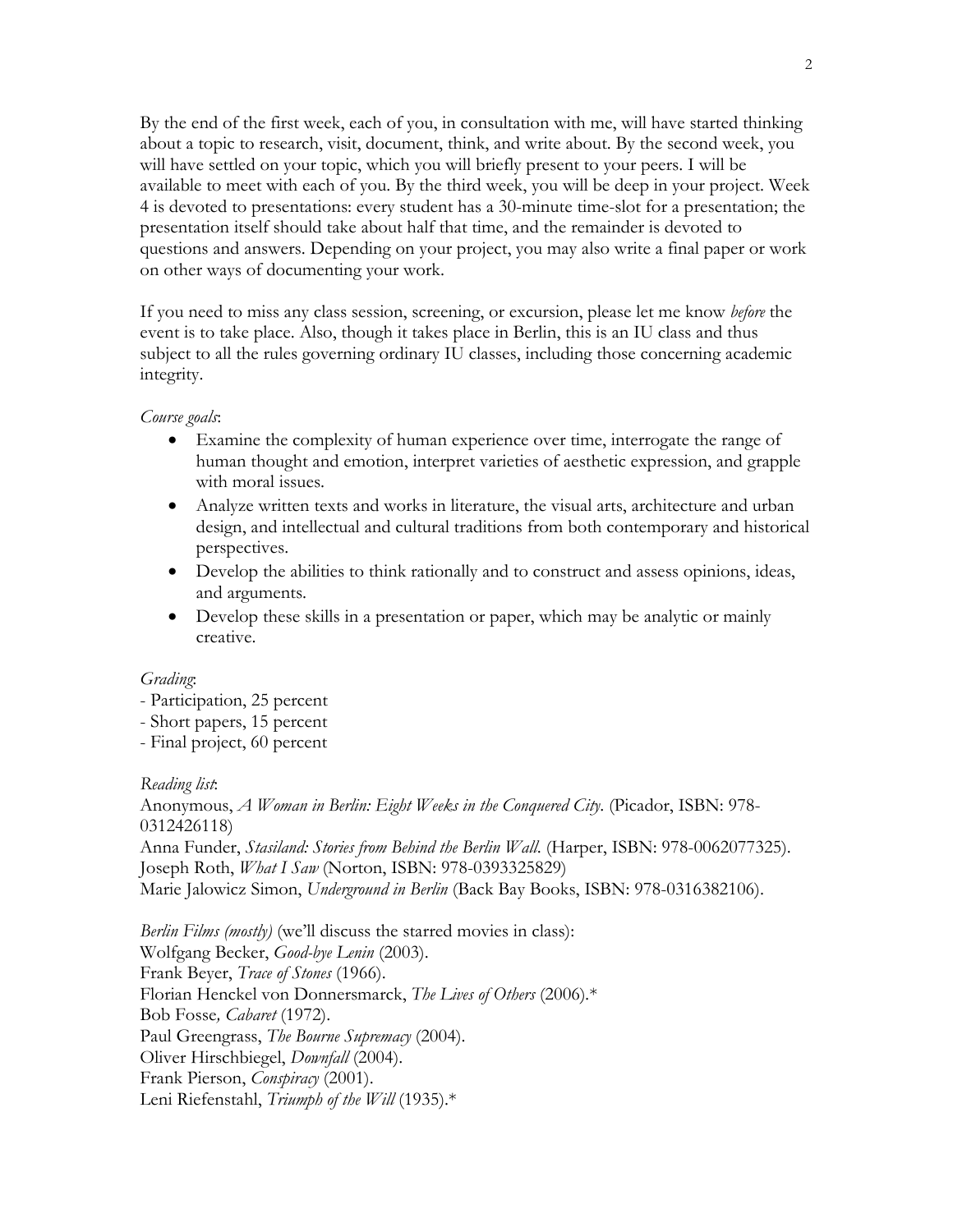By the end of the first week, each of you, in consultation with me, will have started thinking about a topic to research, visit, document, think, and write about. By the second week, you will have settled on your topic, which you will briefly present to your peers. I will be available to meet with each of you. By the third week, you will be deep in your project. Week 4 is devoted to presentations: every student has a 30-minute time-slot for a presentation; the presentation itself should take about half that time, and the remainder is devoted to questions and answers. Depending on your project, you may also write a final paper or work on other ways of documenting your work.

If you need to miss any class session, screening, or excursion, please let me know *before* the event is to take place. Also, though it takes place in Berlin, this is an IU class and thus subject to all the rules governing ordinary IU classes, including those concerning academic integrity.

### *Course goals*:

- Examine the complexity of human experience over time, interrogate the range of human thought and emotion, interpret varieties of aesthetic expression, and grapple with moral issues.
- Analyze written texts and works in literature, the visual arts, architecture and urban design, and intellectual and cultural traditions from both contemporary and historical perspectives.
- Develop the abilities to think rationally and to construct and assess opinions, ideas, and arguments.
- Develop these skills in a presentation or paper, which may be analytic or mainly creative.

#### *Grading*:

- Participation, 25 percent
- Short papers, 15 percent
- Final project, 60 percent

# *Reading list*:

Anonymous, *A Woman in Berlin: Eight Weeks in the Conquered City*. (Picador, ISBN: 978- 0312426118) Anna Funder, *Stasiland: Stories from Behind the Berlin Wall*. (Harper, ISBN: 978-0062077325). Joseph Roth, *What I Saw* (Norton, ISBN: 978-0393325829) Marie Jalowicz Simon, *Underground in Berlin* (Back Bay Books, ISBN: 978-0316382106).

*Berlin Films (mostly)* (we'll discuss the starred movies in class): Wolfgang Becker, *Good-bye Lenin* (2003). Frank Beyer, *Trace of Stones* (1966). Florian Henckel von Donnersmarck, *The Lives of Others* (2006)*.*\* Bob Fosse*, Cabaret* (1972). Paul Greengrass, *The Bourne Supremacy* (2004). Oliver Hirschbiegel, *Downfall* (2004). Frank Pierson, *Conspiracy* (2001). Leni Riefenstahl, *Triumph of the Will* (1935).\*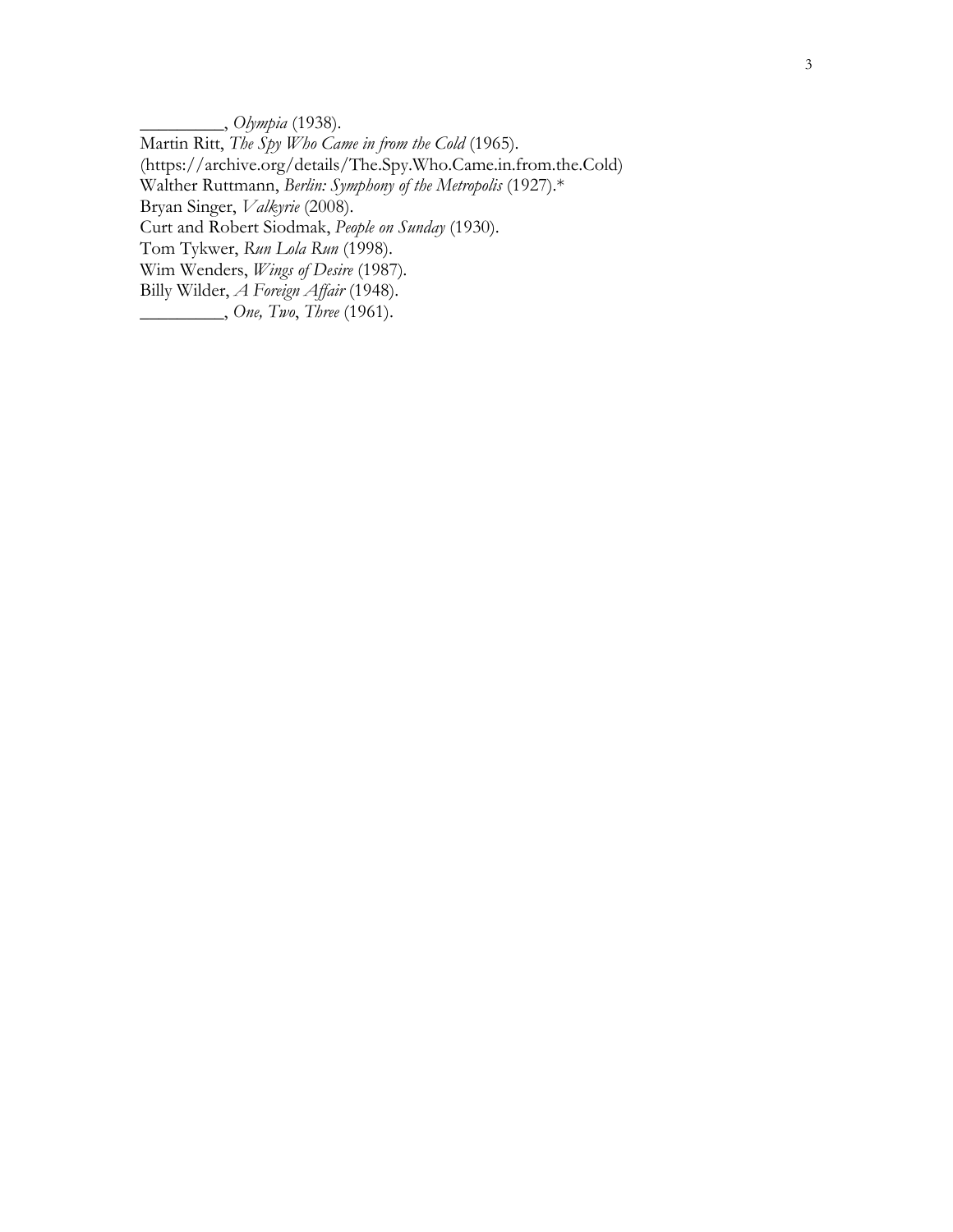\_\_\_\_\_\_\_\_\_, *Olympia* (1938). Martin Ritt, *The Spy Who Came in from the Cold* (1965). (https://archive.org/details/The.Spy.Who.Came.in.from.the.Cold) Walther Ruttmann, *Berlin: Symphony of the Metropolis* (1927).\* Bryan Singer, *Valkyrie* (2008). Curt and Robert Siodmak, *People on Sunday* (1930). Tom Tykwer, *Run Lola Run* (1998). Wim Wenders, *Wings of Desire* (1987)*.* Billy Wilder, *A Foreign Affair* (1948). \_\_\_\_\_\_\_\_\_, *One, Two*, *Three* (1961).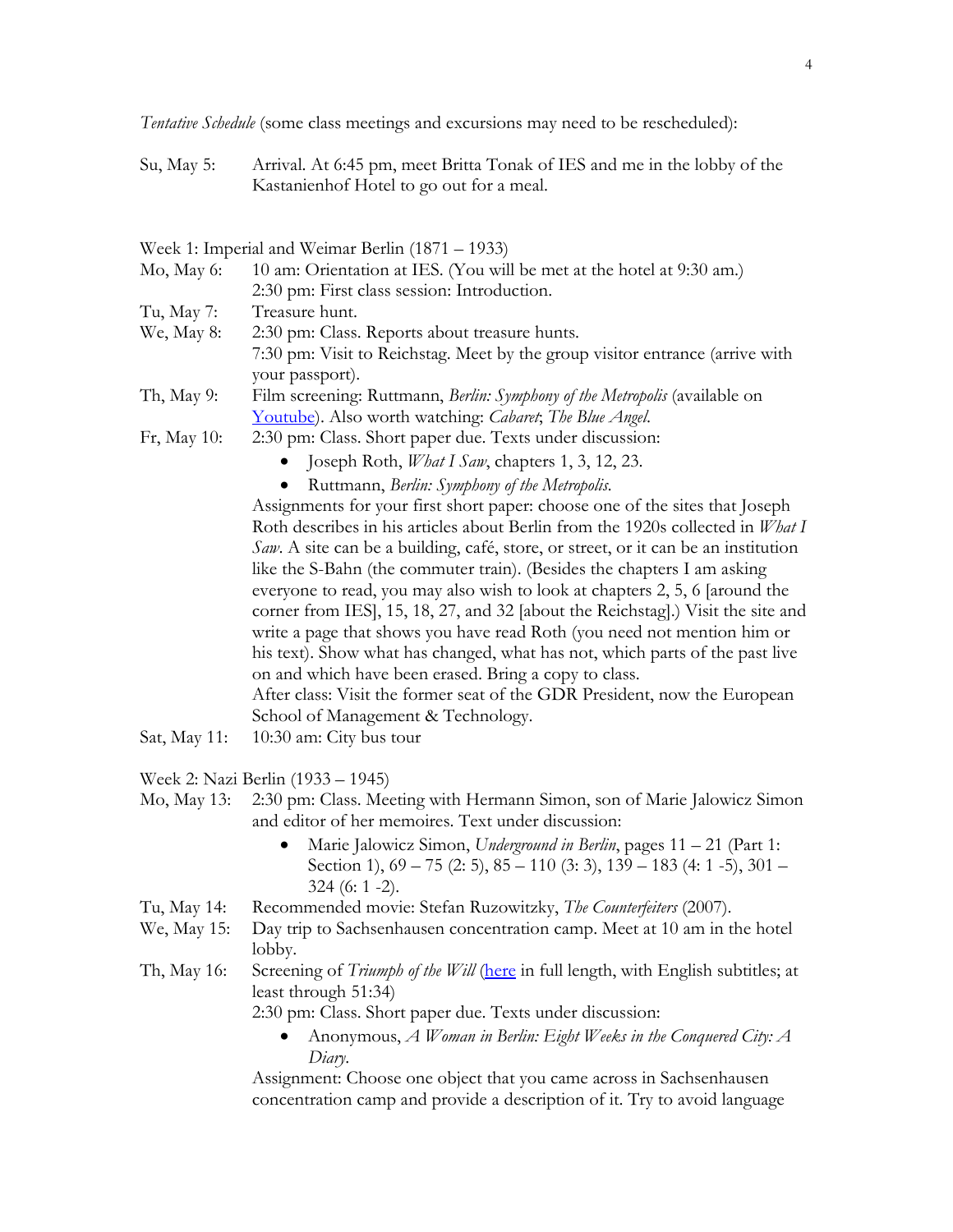*Tentative Schedule* (some class meetings and excursions may need to be rescheduled):

Su, May 5: Arrival. At 6:45 pm, meet Britta Tonak of IES and me in the lobby of the Kastanienhof Hotel to go out for a meal.

| Week 1: Imperial and Weimar Berlin (1871 – 1933) |  |  |  |
|--------------------------------------------------|--|--|--|
|--------------------------------------------------|--|--|--|

| Mo, May 6:   | 10 am: Orientation at IES. (You will be met at the hotel at 9:30 am.)                           |
|--------------|-------------------------------------------------------------------------------------------------|
|              | 2:30 pm: First class session: Introduction.                                                     |
| Tu, May 7:   | Treasure hunt.                                                                                  |
| We, May 8:   | 2:30 pm: Class. Reports about treasure hunts.                                                   |
|              | 7:30 pm: Visit to Reichstag. Meet by the group visitor entrance (arrive with<br>your passport). |
| Th, May 9:   | Film screening: Ruttmann, Berlin: Symphony of the Metropolis (available on                      |
|              | Youtube). Also worth watching: Cabaret, The Blue Angel.                                         |
| Fr, May 10:  | 2:30 pm: Class. Short paper due. Texts under discussion:                                        |
|              | Joseph Roth, <i>What I Saw</i> , chapters 1, 3, 12, 23.                                         |
|              | Ruttmann, Berlin: Symphony of the Metropolis.                                                   |
|              | Assignments for your first short paper: choose one of the sites that Joseph                     |
|              | Roth describes in his articles about Berlin from the 1920s collected in <i>What I</i>           |
|              | Saw. A site can be a building, café, store, or street, or it can be an institution              |
|              | like the S-Bahn (the commuter train). (Besides the chapters I am asking                         |
|              | everyone to read, you may also wish to look at chapters 2, 5, 6 [around the                     |
|              | corner from IES], 15, 18, 27, and 32 [about the Reichstag].) Visit the site and                 |
|              | write a page that shows you have read Roth (you need not mention him or                         |
|              | his text). Show what has changed, what has not, which parts of the past live                    |
|              | on and which have been erased. Bring a copy to class.                                           |
|              | After class: Visit the former seat of the GDR President, now the European                       |
|              | School of Management & Technology.                                                              |
| Sat, May 11: | 10:30 am: City bus tour                                                                         |
|              | Week 2: Nazi Berlin (1933 – 1945)                                                               |
| Mo, May 13:  | 2:30 pm: Class. Meeting with Hermann Simon, son of Marie Jalowicz Simon                         |
|              | and editor of her memoires. Text under discussion:                                              |

- Marie Jalowicz Simon, *Underground in Berlin*, pages 11 21 (Part 1: Section 1),  $69 - 75$  (2: 5),  $85 - 110$  (3: 3),  $139 - 183$  (4: 1 -5),  $301 -$ 324 (6: 1 -2).
- Tu, May 14: Recommended movie: Stefan Ruzowitzky, *The Counterfeiters* (2007).
- We, May 15: Day trip to Sachsenhausen concentration camp. Meet at 10 am in the hotel lobby.
- Th, May 16: Screening of *Triumph of the Will* [\(here](http://archive.org/details/TriumphOfTheWillgermanTriumphDesWillens) in full length, with English subtitles; at least through 51:34)

2:30 pm: Class. Short paper due. Texts under discussion:

• Anonymous, *A Woman in Berlin: Eight Weeks in the Conquered City: A Diary*.

Assignment: Choose one object that you came across in Sachsenhausen concentration camp and provide a description of it. Try to avoid language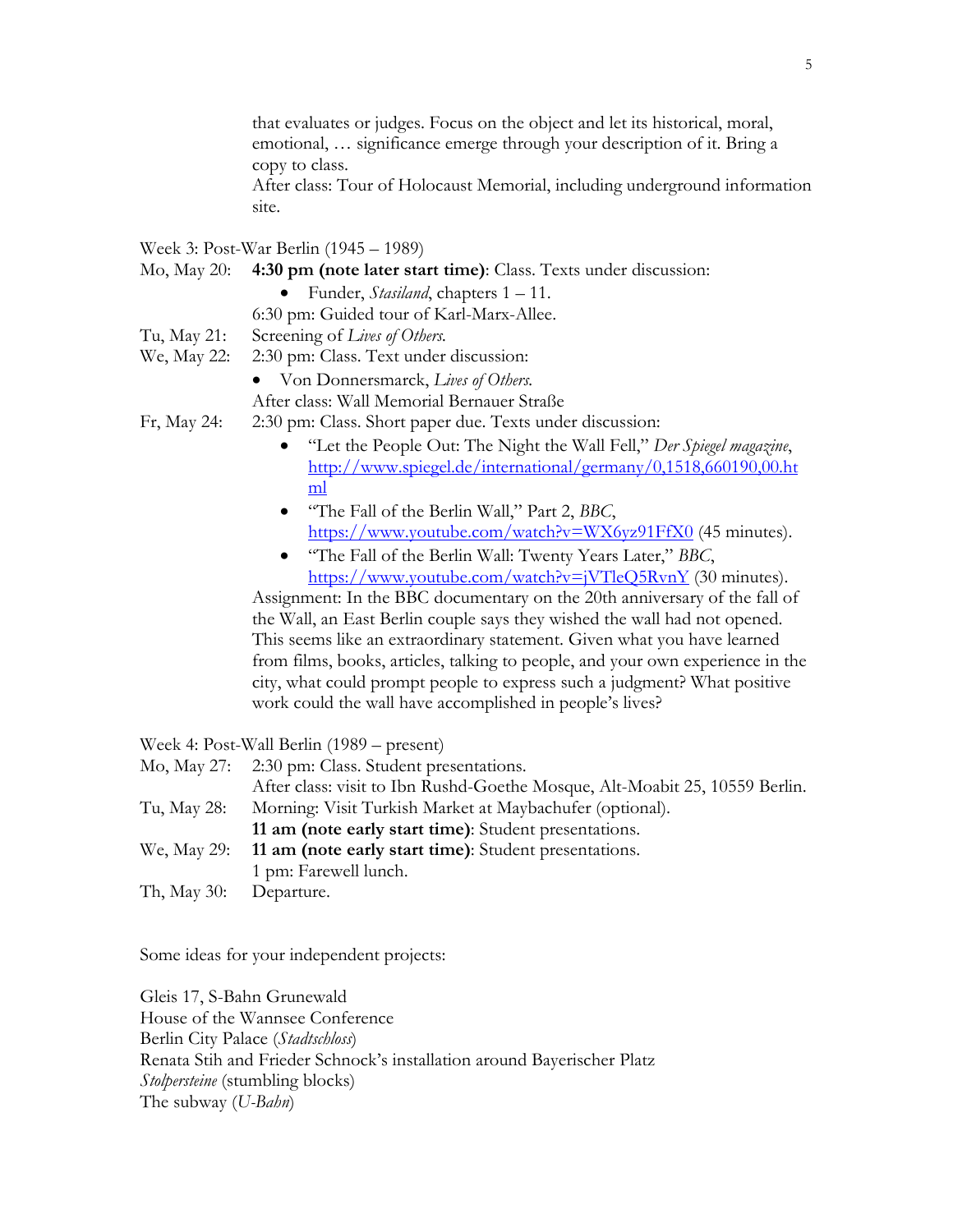that evaluates or judges. Focus on the object and let its historical, moral, emotional, … significance emerge through your description of it. Bring a copy to class.

After class: Tour of Holocaust Memorial, including underground information site.

Week 3: Post-War Berlin (1945 – 1989)

- Mo, May 20: **4:30 pm (note later start time)**: Class. Texts under discussion:
	- Funder, *Stasiland*, chapters 1 11.

6:30 pm: Guided tour of Karl-Marx-Allee.

- Tu, May 21: Screening of *Lives of Others.*
- We, May 22: 2:30 pm: Class. Text under discussion:
	- Von Donnersmarck, *Lives of Others.*

After class: Wall Memorial Bernauer Straße

- Fr, May 24: 2:30 pm: Class. Short paper due. Texts under discussion:
	- "Let the People Out: The Night the Wall Fell," *Der Spiegel magazine*, [http://www.spiegel.de/international/germany/0,1518,660190,00.ht](http://www.spiegel.de/international/germany/0,1518,660190,00.html) [ml](http://www.spiegel.de/international/germany/0,1518,660190,00.html)
	- "The Fall of the Berlin Wall," Part 2, *BBC*, <https://www.youtube.com/watch?v=WX6yz91FfX0> (45 minutes).
	- "The Fall of the Berlin Wall: Twenty Years Later," *BBC*, <https://www.youtube.com/watch?v=jVTleQ5RvnY> (30 minutes).

Assignment: In the BBC documentary on the 20th anniversary of the fall of the Wall, an East Berlin couple says they wished the wall had not opened. This seems like an extraordinary statement. Given what you have learned from films, books, articles, talking to people, and your own experience in the city, what could prompt people to express such a judgment? What positive work could the wall have accomplished in people's lives?

Week 4: Post-Wall Berlin (1989 – present)

|                        | Mo, May 27: 2:30 pm: Class. Student presentations.                          |
|------------------------|-----------------------------------------------------------------------------|
|                        | After class: visit to Ibn Rushd-Goethe Mosque, Alt-Moabit 25, 10559 Berlin. |
| Tu, May 28:            | Morning: Visit Turkish Market at Maybachufer (optional).                    |
|                        | 11 am (note early start time): Student presentations.                       |
|                        | We, May 29: 11 am (note early start time): Student presentations.           |
|                        | 1 pm: Farewell lunch.                                                       |
| Th, May 30: Departure. |                                                                             |

Some ideas for your independent projects:

Gleis 17, S-Bahn Grunewald House of the Wannsee Conference Berlin City Palace (*Stadtschloss*) Renata Stih and Frieder Schnock's installation around Bayerischer Platz *Stolpersteine* (stumbling blocks) The subway (*U-Bahn*)